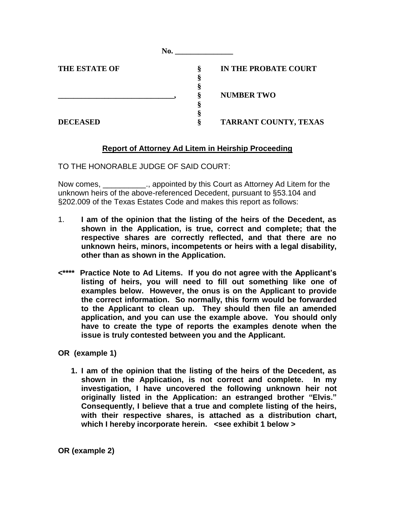| <b>THE ESTATE OF</b> |  | IN THE PROBATE COURT  |
|----------------------|--|-----------------------|
|                      |  |                       |
|                      |  |                       |
|                      |  | <b>NUMBER TWO</b>     |
|                      |  |                       |
|                      |  |                       |
| <b>DECEASED</b>      |  | TARRANT COUNTY, TEXAS |

# **Report of Attorney Ad Litem in Heirship Proceeding**

TO THE HONORABLE JUDGE OF SAID COURT:

Now comes, health is appointed by this Court as Attorney Ad Litem for the unknown heirs of the above-referenced Decedent, pursuant to §53.104 and §202.009 of the Texas Estates Code and makes this report as follows:

- 1. **I am of the opinion that the listing of the heirs of the Decedent, as shown in the Application, is true, correct and complete; that the respective shares are correctly reflected, and that there are no unknown heirs, minors, incompetents or heirs with a legal disability, other than as shown in the Application.**
- **<\*\*\*\* Practice Note to Ad Litems. If you do not agree with the Applicant's listing of heirs, you will need to fill out something like one of examples below. However, the onus is on the Applicant to provide the correct information. So normally, this form would be forwarded to the Applicant to clean up. They should then file an amended application, and you can use the example above. You should only have to create the type of reports the examples denote when the issue is truly contested between you and the Applicant.**

**OR (example 1)**

 **1. I am of the opinion that the listing of the heirs of the Decedent, as shown in the Application, is not correct and complete. In my investigation, I have uncovered the following unknown heir not originally listed in the Application: an estranged brother "Elvis." Consequently, I believe that a true and complete listing of the heirs, with their respective shares, is attached as a distribution chart, which I hereby incorporate herein. <see exhibit 1 below >**

**OR (example 2)**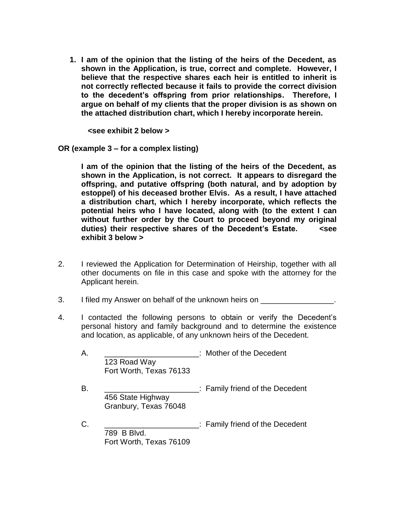**1. I am of the opinion that the listing of the heirs of the Decedent, as shown in the Application, is true, correct and complete. However, I believe that the respective shares each heir is entitled to inherit is not correctly reflected because it fails to provide the correct division to the decedent's offspring from prior relationships. Therefore, I argue on behalf of my clients that the proper division is as shown on the attached distribution chart, which I hereby incorporate herein.**

 **<see exhibit 2 below >**

**OR (example 3 – for a complex listing)** 

**I am of the opinion that the listing of the heirs of the Decedent, as shown in the Application, is not correct. It appears to disregard the offspring, and putative offspring (both natural, and by adoption by estoppel) of his deceased brother Elvis. As a result, I have attached a distribution chart, which I hereby incorporate, which reflects the potential heirs who I have located, along with (to the extent I can without further order by the Court to proceed beyond my original duties) their respective shares of the Decedent's Estate. <see exhibit 3 below >**

- 2. I reviewed the Application for Determination of Heirship, together with all other documents on file in this case and spoke with the attorney for the Applicant herein.
- 3. I filed my Answer on behalf of the unknown heirs on \_\_\_\_\_\_\_\_\_\_
- 4. I contacted the following persons to obtain or verify the Decedent's personal history and family background and to determine the existence and location, as applicable, of any unknown heirs of the Decedent.

| Α. |                                            | : Mother of the Decedent        |
|----|--------------------------------------------|---------------------------------|
|    | 123 Road Way<br>Fort Worth, Texas 76133    |                                 |
| В. | 456 State Highway<br>Granbury, Texas 76048 | : Family friend of the Decedent |
| C. | 789 B Blvd.<br>Fort Worth, Texas 76109     | : Family friend of the Decedent |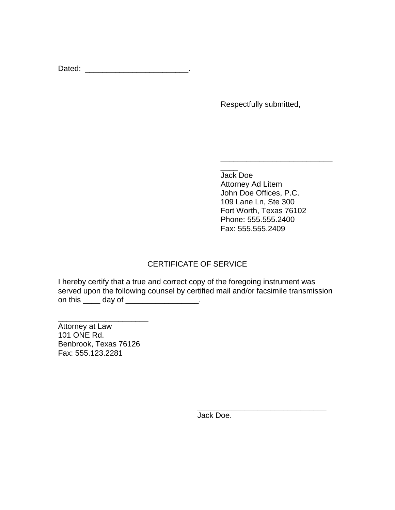Dated: \_\_\_\_\_\_\_\_\_\_\_\_\_\_\_\_\_\_\_\_\_\_\_\_\_\_\_\_\_\_.

Respectfully submitted,

 $\overline{\phantom{a}}$ Jack Doe Attorney Ad Litem John Doe Offices, P.C. 109 Lane Ln, Ste 300 Fort Worth, Texas 76102 Phone: 555.555.2400 Fax: 555.555.2409

\_\_\_\_\_\_\_\_\_\_\_\_\_\_\_\_\_\_\_\_\_\_\_\_\_\_\_\_\_\_

\_\_\_\_\_\_\_\_\_\_\_\_\_\_\_\_\_\_\_\_\_\_\_\_\_\_

# CERTIFICATE OF SERVICE

I hereby certify that a true and correct copy of the foregoing instrument was served upon the following counsel by certified mail and/or facsimile transmission on this \_\_\_\_\_ day of \_\_\_\_\_\_\_\_\_\_\_\_\_\_\_\_\_.

Attorney at Law 101 ONE Rd. Benbrook, Texas 76126 Fax: 555.123.2281

\_\_\_\_\_\_\_\_\_\_\_\_\_\_\_\_\_\_\_\_\_

Jack Doe.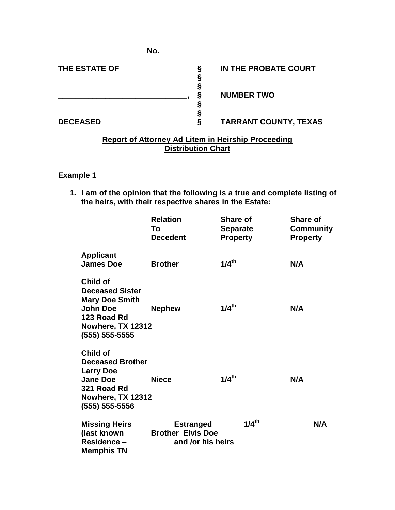|                 | No. |                              |
|-----------------|-----|------------------------------|
| THE ESTATE OF   |     | IN THE PROBATE COURT         |
|                 |     | <b>NUMBER TWO</b>            |
| <b>DECEASED</b> |     | <b>TARRANT COUNTY, TEXAS</b> |

#### **Report of Attorney Ad Litem in Heirship Proceeding Distribution Chart**

# **Example 1**

**1. I am of the opinion that the following is a true and complete listing of the heirs, with their respective shares in the Estate:**

|                                                                                                                                      | <b>Relation</b><br>To<br><b>Decedent</b>                          | <b>Share of</b><br>Separate<br><b>Property</b> | <b>Share of</b><br>Community<br><b>Property</b> |
|--------------------------------------------------------------------------------------------------------------------------------------|-------------------------------------------------------------------|------------------------------------------------|-------------------------------------------------|
| <b>Applicant</b><br><b>James Doe</b>                                                                                                 | <b>Brother</b>                                                    | $1/4$ <sup>th</sup>                            | N/A                                             |
| Child of<br><b>Deceased Sister</b><br><b>Mary Doe Smith</b><br><b>John Doe</b><br>123 Road Rd<br>Nowhere, TX 12312<br>(555) 555-5555 | <b>Nephew</b>                                                     | $1/4$ <sup>th</sup>                            | N/A                                             |
| Child of<br><b>Deceased Brother</b><br><b>Larry Doe</b><br><b>Jane Doe</b><br>321 Road Rd<br>Nowhere, TX 12312<br>(555) 555-5556     | <b>Niece</b>                                                      | $1/4$ <sup>th</sup>                            | N/A                                             |
| <b>Missing Heirs</b><br>(last known<br>Residence -<br><b>Memphis TN</b>                                                              | <b>Estranged</b><br><b>Brother Elvis Doe</b><br>and /or his heirs | $1/4$ <sup>th</sup>                            | N/A                                             |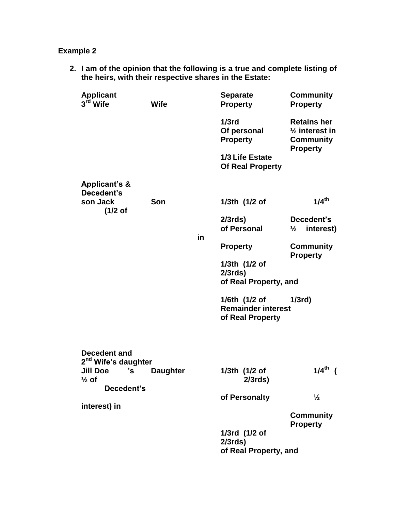# **Example 2**

**2. I am of the opinion that the following is a true and complete listing of the heirs, with their respective shares in the Estate:**

| <b>Applicant</b><br>3 <sup>rd</sup> Wife        | Wife            |     | <b>Separate</b><br><b>Property</b>                             | <b>Community</b><br><b>Property</b>                                             |
|-------------------------------------------------|-----------------|-----|----------------------------------------------------------------|---------------------------------------------------------------------------------|
|                                                 |                 |     | $1/3$ rd<br>Of personal<br><b>Property</b>                     | <b>Retains her</b><br>$\frac{1}{2}$ interest in<br>Community<br><b>Property</b> |
|                                                 |                 |     | 1/3 Life Estate<br><b>Of Real Property</b>                     |                                                                                 |
| <b>Applicant's &amp;</b><br>Decedent's          |                 |     |                                                                |                                                                                 |
| son Jack<br>$(1/2$ of                           | Son             |     | 1/3th (1/2 of                                                  | $1/4$ <sup>th</sup>                                                             |
|                                                 |                 | in. | $2/3$ rds)<br>of Personal                                      | Decedent's<br>interest)<br>$\frac{1}{2}$                                        |
|                                                 |                 |     | <b>Property</b>                                                | <b>Community</b>                                                                |
|                                                 |                 |     | 1/3th (1/2 of<br>$2/3$ rds)<br>of Real Property, and           | <b>Property</b>                                                                 |
|                                                 |                 |     | 1/6th (1/2 of<br><b>Remainder interest</b><br>of Real Property | 1/3rd                                                                           |
| Decedent and<br>2 <sup>nd</sup> Wife's daughter |                 |     |                                                                |                                                                                 |
| <b>Jill Doe</b><br>'s<br>$\frac{1}{2}$ of       | <b>Daughter</b> |     | 1/3th (1/2 of<br>$2/3$ rds $)$                                 | $1/4$ <sup>th</sup>                                                             |
| Decedent's                                      |                 |     | of Personalty                                                  | $\frac{1}{2}$                                                                   |
| interest) in                                    |                 |     |                                                                | <b>Community</b><br><b>Property</b>                                             |
|                                                 |                 |     | 1/3rd (1/2 of<br>$2/3$ rds)<br>of Real Property, and           |                                                                                 |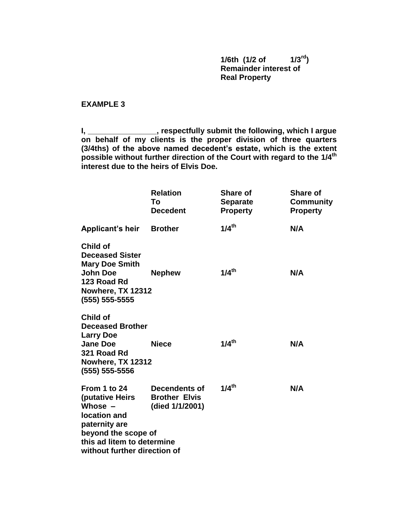**1/6th (1/2 of 1/3rd) Remainder interest of Real Property**

**EXAMPLE 3**

**I, \_\_\_\_\_\_\_\_\_\_\_\_\_\_\_\_, respectfully submit the following, which I argue on behalf of my clients is the proper division of three quarters (3/4ths) of the above named decedent's estate, which is the extent possible without further direction of the Court with regard to the 1/4th interest due to the heirs of Elvis Doe.**

|                                                                                                                                                                    | <b>Relation</b><br>Тο<br><b>Decedent</b>                        | <b>Share of</b><br><b>Separate</b><br><b>Property</b> | <b>Share of</b><br>Community<br><b>Property</b> |
|--------------------------------------------------------------------------------------------------------------------------------------------------------------------|-----------------------------------------------------------------|-------------------------------------------------------|-------------------------------------------------|
| <b>Applicant's heir</b>                                                                                                                                            | <b>Brother</b>                                                  | $1/4$ <sup>th</sup>                                   | N/A                                             |
| <b>Child of</b><br><b>Deceased Sister</b><br><b>Mary Doe Smith</b><br><b>John Doe</b><br>123 Road Rd<br>Nowhere, TX 12312<br>(555) 555-5555                        | <b>Nephew</b>                                                   | $1/4$ <sup>th</sup>                                   | N/A                                             |
| Child of<br><b>Deceased Brother</b><br><b>Larry Doe</b><br><b>Jane Doe</b><br>321 Road Rd<br>Nowhere, TX 12312<br>(555) 555-5556                                   | <b>Niece</b>                                                    | $1/4$ <sup>th</sup>                                   | N/A                                             |
| From 1 to 24<br>(putative Heirs<br>Whose $-$<br>location and<br>paternity are<br>beyond the scope of<br>this ad litem to determine<br>without further direction of | <b>Decendents of</b><br><b>Brother Elvis</b><br>(died 1/1/2001) | $1/4$ <sup>th</sup>                                   | N/A                                             |